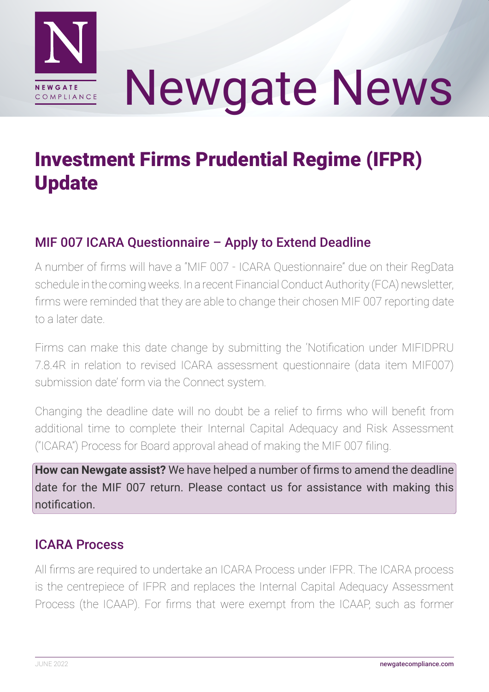

# Newgate News

## Investment Firms Prudential Regime (IFPR) Update

### MIF 007 ICARA Questionnaire – Apply to Extend Deadline

A number of firms will have a "MIF 007 - ICARA Questionnaire" due on their RegData schedule in the coming weeks. In a recent Financial Conduct Authority (FCA) newsletter, firms were reminded that they are able to change their chosen MIF 007 reporting date to a later date.

Firms can make this date change by submitting the 'Notification under MIFIDPRU 7.8.4R in relation to revised ICARA assessment questionnaire (data item MIF007) submission date' form via the Connect system.

Changing the deadline date will no doubt be a relief to firms who will benefit from additional time to complete their Internal Capital Adequacy and Risk Assessment ("ICARA") Process for Board approval ahead of making the MIF 007 filing.

**How can Newgate assist?** We have helped a number of firms to amend the deadline date for the MIF 007 return. Please contact us for assistance with making this notification.

### ICARA Process

All firms are required to undertake an ICARA Process under IFPR. The ICARA process is the centrepiece of IFPR and replaces the Internal Capital Adequacy Assessment Process (the ICAAP). For firms that were exempt from the ICAAP, such as former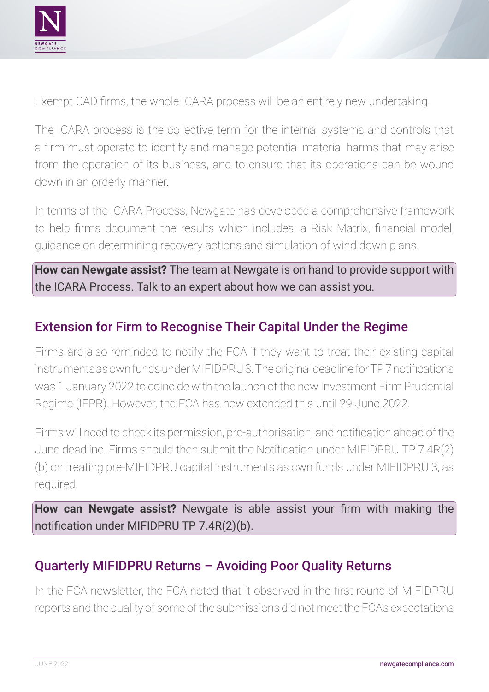

Exempt CAD firms, the whole ICARA process will be an entirely new undertaking.

The ICARA process is the collective term for the internal systems and controls that a firm must operate to identify and manage potential material harms that may arise from the operation of its business, and to ensure that its operations can be wound down in an orderly manner.

In terms of the ICARA Process, Newgate has developed a comprehensive framework to help firms document the results which includes: a Risk Matrix, financial model, guidance on determining recovery actions and simulation of wind down plans.

**How can Newgate assist?** The team at Newgate is on hand to provide support with the ICARA Process. Talk to an expert about how we can assist you.

#### Extension for Firm to Recognise Their Capital Under the Regime

Firms are also reminded to notify the FCA if they want to treat their existing capital instruments as own funds under MIFIDPRU 3. The original deadline for TP 7 notifications was 1 January 2022 to coincide with the launch of the new Investment Firm Prudential Regime (IFPR). However, the FCA has now extended this until 29 June 2022.

Firms will need to check its permission, pre-authorisation, and notification ahead of the June deadline. Firms should then submit the Notification under MIFIDPRU TP 7.4R(2) (b) on treating pre-MIFIDPRU capital instruments as own funds under MIFIDPRU 3, as required.

**How can Newgate assist?** Newgate is able assist your firm with making the notification under MIFIDPRU TP 7.4R(2)(b).

#### Quarterly MIFIDPRU Returns – Avoiding Poor Quality Returns

In the FCA newsletter, the FCA noted that it observed in the first round of MIFIDPRU reports and the quality of some of the submissions did not meet the FCA's expectations